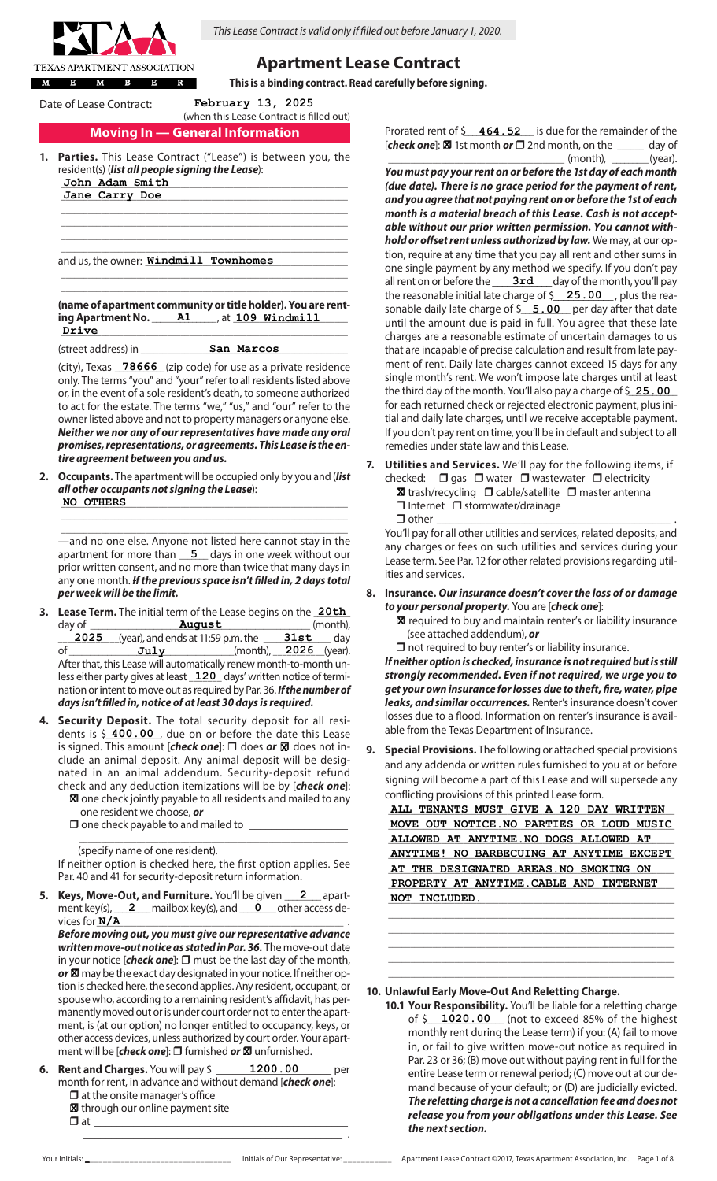

*This Lease Contract is valid only if filled out before January 1, 2020.*

# **Apartment Lease Contract**

**This is a binding contract. Read carefully before signing.**

Date of Lease Contract: \_\_\_\_\_\_\_\_**February 13, 2025**\_\_\_\_\_\_\_

## **Moving In — General Information** (when this Lease Contract is filled out)

\_\_\_\_\_\_\_\_\_\_\_\_\_\_\_\_\_\_\_\_\_\_\_\_\_\_\_\_\_\_\_\_\_\_\_\_\_\_\_\_\_\_\_\_\_\_\_\_\_\_\_\_\_\_\_\_\_\_\_\_\_\_\_\_\_ \_\_\_\_\_\_\_\_\_\_\_\_\_\_\_\_\_\_\_\_\_\_\_\_\_\_\_\_\_\_\_\_\_\_\_\_\_\_\_\_\_\_\_\_\_\_\_\_\_\_\_\_\_\_\_\_\_\_\_\_\_\_\_\_\_ \_\_\_\_\_\_\_\_\_\_\_\_\_\_\_\_\_\_\_\_\_\_\_\_\_\_\_\_\_\_\_\_\_\_\_\_\_\_\_\_\_\_\_\_\_\_\_\_\_\_\_\_\_\_\_\_\_\_\_\_\_\_\_\_\_  $\_$  , and the set of the set of the set of the set of the set of the set of the set of the set of the set of the set of the set of the set of the set of the set of the set of the set of the set of the set of the set of th

- Parties. This Lease Contract ("Lease") is between you, the resident(s) (*list all people signing the Lease*): \_\_\_\_\_\_\_\_\_\_\_\_\_\_\_\_\_\_\_\_\_\_\_\_\_\_\_\_\_\_\_\_\_\_\_\_\_\_\_\_\_\_\_\_\_\_\_\_\_\_\_\_\_\_\_\_\_\_\_\_\_\_\_\_\_ **John Adam Smith**
	- \_\_\_\_\_\_\_\_\_\_\_\_\_\_\_\_\_\_\_\_\_\_\_\_\_\_\_\_\_\_\_\_\_\_\_\_\_\_\_\_\_\_\_\_\_\_\_\_\_\_\_\_\_\_\_\_\_\_\_\_\_\_\_\_\_ **Jane Carry Doe**

and us, the owner: <u>Win**dmill Townhomes** \_\_\_\_\_\_\_\_</u>\_\_\_\_

**(name of apartment community or title holder). You are renting Apartment No.** \_\_\_\_\_\_\_\_\_\_\_\_\_\_\_\_ , at \_\_\_\_\_\_\_\_\_\_\_\_\_\_\_\_\_\_\_\_\_\_\_\_\_\_ **A1 109 Windmill** \_\_\_\_\_\_\_\_\_\_\_\_\_\_\_\_\_\_\_\_\_\_\_\_\_\_\_\_\_\_\_\_\_\_\_\_\_\_\_\_\_\_\_\_\_\_\_\_\_\_\_\_\_\_\_\_\_\_\_\_\_\_\_\_\_ **Drive**

 $\_$  , and the set of the set of the set of the set of the set of the set of the set of the set of the set of the set of the set of the set of the set of the set of the set of the set of the set of the set of the set of th \_\_\_\_\_\_\_\_\_\_\_\_\_\_\_\_\_\_\_\_\_\_\_\_\_\_\_\_\_\_\_\_\_\_\_\_\_\_\_\_\_\_\_\_\_\_\_\_\_\_\_\_\_\_\_\_\_\_\_\_\_\_\_\_\_

(street address) in \_\_\_\_\_\_\_\_\_\_\_\_\_\_\_\_\_\_\_\_\_\_\_\_\_\_\_\_\_\_\_\_\_\_\_\_\_\_\_\_\_\_\_\_\_\_\_ **San Marcos**

(city), Texas **78666** (zip code) for use as a private residence only. The terms "you" and "your" refer to all residents listed above or, in the event of a sole resident's death, to someone authorized to act for the estate. The terms "we," "us," and "our" refer to the owner listed above and not to property managers or anyone else. *Neither we nor any of our representatives have made any oral promises, representations, or agreements. This Lease is the entire agreement between you and us.*

**2. Occupants.** The apartment will be occupied only by you and (*list all other occupants not signing the Lease*): \_\_\_\_\_\_\_\_\_\_\_\_\_\_\_\_\_\_\_\_\_\_\_\_\_\_\_\_\_\_\_\_\_\_\_\_\_\_\_\_\_\_\_\_\_\_\_\_\_\_\_\_\_\_\_\_\_\_\_\_\_\_\_\_\_ **NO OTHERS**

\_\_\_\_\_\_\_\_\_\_\_\_\_\_\_\_\_\_\_\_\_\_\_\_\_\_\_\_\_\_\_\_\_\_\_\_\_\_\_\_\_\_\_\_\_\_\_\_\_\_\_\_\_\_\_\_\_\_\_\_\_\_\_\_\_ —and no one else. Anyone not listed here cannot stay in the apartment for more than **5** days in one week without our prior written consent, and no more than twice that many days in any one month. *If the previous space isn't filled in, 2 days total per week will be the limit.*

 $\_$  , and the set of the set of the set of the set of the set of the set of the set of the set of the set of the set of the set of the set of the set of the set of the set of the set of the set of the set of the set of th

- **3. Lease Term.** The initial term of the Lease begins on the 20th day of \_\_\_\_\_\_\_\_\_\_\_\_\_\_\_\_\_\_\_\_\_\_\_\_\_\_\_\_\_\_\_\_\_\_\_\_\_\_\_\_\_\_\_\_\_\_\_\_\_\_\_\_ (month), **August**  $\frac{2025}{\text{of}}$  (year), and ends at 11:59 p.m. the  $\frac{31st}{\text{of}}$  day  $\overline{Ju1y}$  (month),  $2026$  (year). After that, this Lease will automatically renew month-to-month unless either party gives at least **120** days' written notice of termination or intent to move out as required by Par. 36. *If the number of days isn't filled in, notice of at least 30 days is required.* **31st July 2026 2025**
- **4. Security Deposit.** The total security deposit for all residents is \$ 400.00, due on or before the date this Lease is signed. This amount [**check one**]: □ does or 図 does not include an animal deposit. Any animal deposit will be designated in an animal addendum. Security-deposit refund check and any deduction itemizations will be by [*check one*]:
	- **X** one check jointly payable to all residents and mailed to any one resident we choose, *or*
	- $\Box$  one check payable to and mailed to  $\Box$

 $\frac{1}{2}$  ,  $\frac{1}{2}$  ,  $\frac{1}{2}$  ,  $\frac{1}{2}$  ,  $\frac{1}{2}$  ,  $\frac{1}{2}$  ,  $\frac{1}{2}$  ,  $\frac{1}{2}$  ,  $\frac{1}{2}$  ,  $\frac{1}{2}$  ,  $\frac{1}{2}$  ,  $\frac{1}{2}$  ,  $\frac{1}{2}$  ,  $\frac{1}{2}$  ,  $\frac{1}{2}$  ,  $\frac{1}{2}$  ,  $\frac{1}{2}$  ,  $\frac{1}{2}$  ,  $\frac{1$ (specify name of one resident).

If neither option is checked here, the first option applies. See Par. 40 and 41 for security-deposit return information.

5. Keys, Move-Out, and Furniture. You'll be given 2 apartment key(s), <u>2</u> mailbox key(s), and <u>0</u> other access devices for\_\_\_\_\_\_\_\_\_\_\_\_\_\_\_\_\_\_\_\_\_\_\_\_\_\_\_\_\_\_\_\_\_\_\_\_\_\_\_\_\_\_\_\_\_\_\_\_\_\_\_\_\_\_\_\_ . **N/A 2**

*Before moving out, you must give our representative advance written move-out notice as stated in Par. 36.* The move-out date in your notice  $[check one]$ :  $\Box$  must be the last day of the month, or **X** may be the exact day designated in your notice. If neither option is checked here, the second applies. Any resident, occupant, or spouse who, according to a remaining resident's affidavit, has permanently moved out or is under court order not to enter the apartment, is (at our option) no longer entitled to occupancy, keys, or other access devices, unless authorized by court order. Your apartment will be [*check one*]: □ furnished *or* ⊠ unfurnished.

**Rent and Charges.** You will pay \$ \_\_\_\_\_\_\_**1200.00** \_\_\_\_\_\_\_ per month for rent, in advance and without demand [*check one*]:  $\square$  at the onsite manager's office **1200.00**

\_\_\_\_\_\_\_\_\_\_\_\_\_\_\_\_\_\_\_\_\_\_\_\_\_\_\_\_\_\_\_\_\_\_\_\_\_\_\_\_\_\_\_\_\_\_\_ .

- **X** through our online payment site
- r at \_\_\_\_\_\_\_\_\_\_\_\_\_\_\_\_\_\_\_\_\_\_\_\_\_\_\_\_\_\_\_\_\_\_\_\_\_\_\_\_\_\_\_\_\_\_

Prorated rent of  $\frac{2}{7}$  **464.52** is due for the remainder of the **[check one]:**  $\boxtimes$  1st month **or**  $\Box$  2nd month, on the  $\_\_\_\_\_$  day of  $\mu$  (month), \_\_\_\_\_\_\_\_\_(year).

- *You must pay your rent on or before the 1st day of each month (due date). There is no grace period for the payment of rent, and you agree that not paying rent on or before the 1st of each month is a material breach of this Lease. Cash is not acceptable without our prior written permission. You cannot withhold or offset rent unless authorized by law.* We may, at our option, require at any time that you pay all rent and other sums in one single payment by any method we specify. If you don't pay all rent on or before the \_\_\_\_\_\_**3rd** \_\_\_\_\_day of the month, you'll pay the reasonable initial late charge of \$**\_\_\_25 . 00\_\_\_** , plus the reasonable daily late charge of \$**\_\_\_\_5.00** per day after that date until the amount due is paid in full. You agree that these late charges are a reasonable estimate of uncertain damages to us that are incapable of precise calculation and result from late payment of rent. Daily late charges cannot exceed 15 days for any single month's rent. We won't impose late charges until at least the third day of the month. You'll also pay a charge of \$\_\_\_\_\_\_\_\_\_\_\_\_ **25.00** for each returned check or rejected electronic payment, plus initial and daily late charges, until we receive acceptable payment. If you don't pay rent on time, you'll be in default and subject to all remedies under state law and this Lease.
- **7. Utilities and Services.** We'll pay for the following items, if checked:  $\Box$  gas  $\Box$  water  $\Box$  wastewater  $\Box$  electricity **X** trash/recycling  $\Box$  cable/satellite  $\Box$  master antenna  $\Box$  Internet  $\Box$  stormwater/drainage  $\Box$  other

You'll pay for all other utilities and services, related deposits, and any charges or fees on such utilities and services during your Lease term. See Par. 12 for other related provisions regarding utilities and services.

- **8. Insurance.** *Our insurance doesn't cover the loss of or damage to your personal property.* You are [*check one*]:
	- **X** required to buy and maintain renter's or liability insurance (see attached addendum), *or*
	- $\Box$  not required to buy renter's or liability insurance.

*If neither option is checked, insurance is not required but is still strongly recommended. Even if not required, we urge you to get your own insurance for losses due to theft, fire, water, pipe leaks, and similar occurrences.* Renter's insurance doesn't cover losses due to a flood. Information on renter's insurance is available from the Texas Department of Insurance.

**9. Special Provisions.** The following or attached special provisions and any addenda or written rules furnished to you at or before signing will become a part of this Lease and will supersede any conflicting provisions of this printed Lease form.

ALL TENANTS MUST GIVE A 120 DAY WRITTEN \_\_\_\_\_\_\_\_\_\_\_\_\_\_\_\_\_\_\_\_\_\_\_\_\_\_\_\_\_\_\_\_\_\_\_\_\_\_\_\_\_\_\_\_\_\_\_\_\_\_\_\_\_\_\_\_\_\_\_\_\_\_\_\_\_ **MOVE OUT NOTICE.NO PARTIES OR LOUD MUSIC** \_\_\_\_\_\_\_\_\_\_\_\_\_\_\_\_\_\_\_\_\_\_\_\_\_\_\_\_\_\_\_\_\_\_\_\_\_\_\_\_\_\_\_\_\_\_\_\_\_\_\_\_\_\_\_\_\_\_\_\_\_\_\_\_\_ **ALLOWED AT ANYTIME.NO DOGS ALLOWED AT** \_\_\_\_\_\_\_\_\_\_\_\_\_\_\_\_\_\_\_\_\_\_\_\_\_\_\_\_\_\_\_\_\_\_\_\_\_\_\_\_\_\_\_\_\_\_\_\_\_\_\_\_\_\_\_\_\_\_\_\_\_\_\_\_\_ **ANYTIME! NO BARBECUING AT ANYTIME EXCEPT** AT THE DESIGNATED AREAS.NO SMOKING ON PROPERTY AT ANYTIME. CABLE AND INTERNET \_\_\_\_\_\_\_\_\_\_\_\_\_\_\_\_\_\_\_\_\_\_\_\_\_\_\_\_\_\_\_\_\_\_\_\_\_\_\_\_\_\_\_\_\_\_\_\_\_\_\_\_\_\_\_\_\_\_\_\_\_\_\_\_\_ **NOT INCLUDED.**

\_\_\_\_\_\_\_\_\_\_\_\_\_\_\_\_\_\_\_\_\_\_\_\_\_\_\_\_\_\_\_\_\_\_\_\_\_\_\_\_\_\_\_\_\_\_\_\_\_\_\_\_\_\_\_\_\_\_\_\_\_\_\_\_\_ \_\_\_\_\_\_\_\_\_\_\_\_\_\_\_\_\_\_\_\_\_\_\_\_\_\_\_\_\_\_\_\_\_\_\_\_\_\_\_\_\_\_\_\_\_\_\_\_\_\_\_\_\_\_\_\_\_\_\_\_\_\_\_\_\_  $\_$  , and the set of the set of the set of the set of the set of the set of the set of the set of the set of the set of the set of the set of the set of the set of the set of the set of the set of the set of the set of th \_\_\_\_\_\_\_\_\_\_\_\_\_\_\_\_\_\_\_\_\_\_\_\_\_\_\_\_\_\_\_\_\_\_\_\_\_\_\_\_\_\_\_\_\_\_\_\_\_\_\_\_\_\_\_\_\_\_\_\_\_\_\_\_\_ \_\_\_\_\_\_\_\_\_\_\_\_\_\_\_\_\_\_\_\_\_\_\_\_\_\_\_\_\_\_\_\_\_\_\_\_\_\_\_\_\_\_\_\_\_\_\_\_\_\_\_\_\_\_\_\_\_\_\_\_\_\_\_\_\_

**10. Unlawful Early Move-Out And Reletting Charge.**

**10.1 Your Responsibility.** You'll be liable for a reletting charge of \$\_\_\_\_\_\_\_\_\_\_\_\_\_\_\_\_\_\_ (not to exceed 85% of the highest **1020.00** monthly rent during the Lease term) if you: (A) fail to move in, or fail to give written move-out notice as required in Par. 23 or 36; (B) move out without paying rent in full for the entire Lease term or renewal period; (C) move out at our demand because of your default; or (D) are judicially evicted. *The reletting charge is not a cancellation fee and does not release you from your obligations under this Lease. See the next section.* 

Your Initials: match and the Unitials of Our Representative: Apartment Lease Contract ©2017, Texas Apartment Association, Inc. Page 1 of 8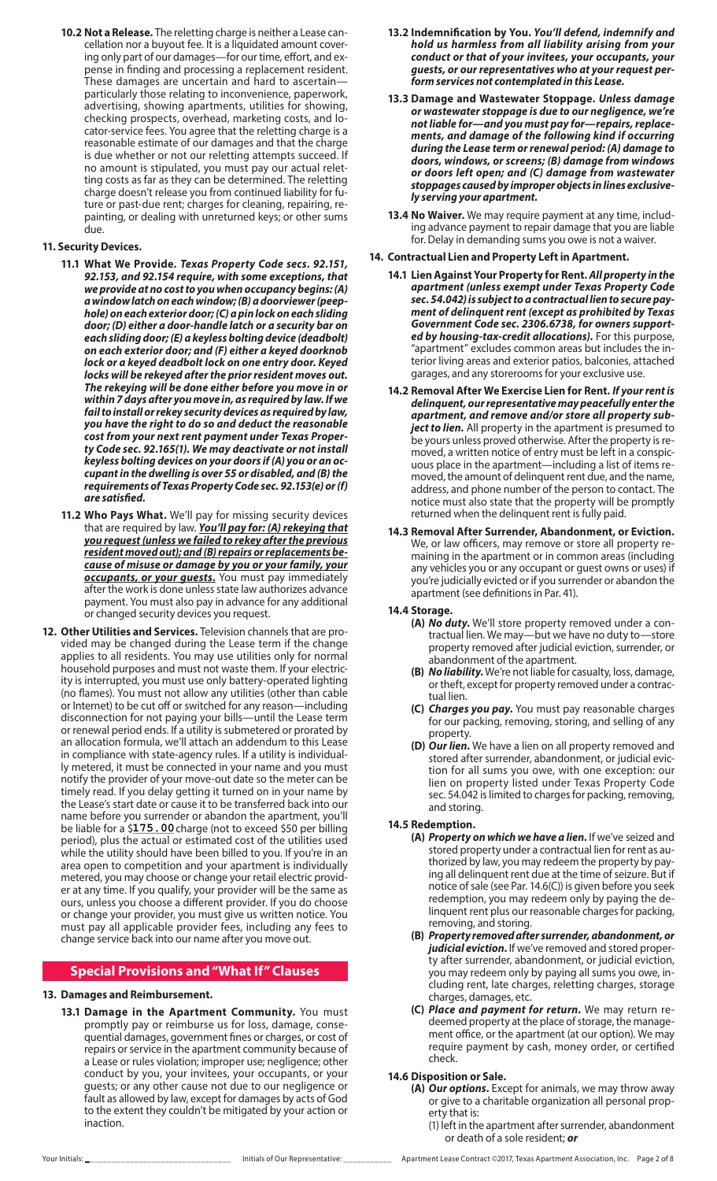**10.2 Not a Release.** The reletting charge is neither a Lease cancellation nor a buyout fee. It is a liquidated amount covering only part of our damages—for our time, effort, and expense in finding and processing a replacement resident. These damages are uncertain and hard to ascertain particularly those relating to inconvenience, paperwork, advertising, showing apartments, utilities for showing, checking prospects, overhead, marketing costs, and locator-service fees. You agree that the reletting charge is a reasonable estimate of our damages and that the charge is due whether or not our reletting attempts succeed. If no amount is stipulated, you must pay our actual reletting costs as far as they can be determined. The reletting charge doesn't release you from continued liability for future or past-due rent; charges for cleaning, repairing, repainting, or dealing with unreturned keys; or other sums due.

## **11. Security Devices.**

- **11.1 What We Provide.** *Texas Property Code secs. 92.151, 92.153, and 92.154 require, with some exceptions, that we provide at no cost to you when occupancy begins: (A) a window latch on each window; (B) a doorviewer (peephole) on each exterior door; (C) a pin lock on each sliding door; (D) either a door-handle latch or a security bar on each sliding door; (E) a keyless bolting device (deadbolt) on each exterior door; and (F) either a keyed doorknob lock or a keyed deadbolt lock on one entry door. Keyed locks will be rekeyed after the prior resident moves out. The rekeying will be done either before you move in or within 7 days after you move in, as required by law. If we fail to install or rekey security devices as required by law, you have the right to do so and deduct the reasonable cost from your next rent payment under Texas Property Code sec. 92.165(1). We may deactivate or not install keyless bolting devices on your doors if (A) you or an occupant in the dwelling is over 55 or disabled, and (B) the requirements of Texas Property Code sec. 92.153(e) or (f) are satisfied.*
- **11.2 Who Pays What.** We'll pay for missing security devices that are required by law. *You'll pay for: (A) rekeying that you request (unless we failed to rekey after the previous resident moved out); and (B) repairs or replacements because of misuse or damage by you or your family, your occupants, or your guests.* You must pay immediately after the work is done unless state law authorizes advance payment. You must also pay in advance for any additional or changed security devices you request.
- **12. Other Utilities and Services.** Television channels that are provided may be changed during the Lease term if the change applies to all residents. You may use utilities only for normal household purposes and must not waste them. If your electricity is interrupted, you must use only battery-operated lighting (no flames). You must not allow any utilities (other than cable or Internet) to be cut off or switched for any reason—including disconnection for not paying your bills—until the Lease term or renewal period ends. If a utility is submetered or prorated by an allocation formula, we'll attach an addendum to this Lease in compliance with state-agency rules. If a utility is individually metered, it must be connected in your name and you must notify the provider of your move-out date so the meter can be timely read. If you delay getting it turned on in your name by the Lease's start date or cause it to be transferred back into our name before you surrender or abandon the apartment, you'll be liable for a \$175.00 charge (not to exceed \$50 per billing period), plus the actual or estimated cost of the utilities used while the utility should have been billed to you. If you're in an area open to competition and your apartment is individually metered, you may choose or change your retail electric provider at any time. If you qualify, your provider will be the same as ours, unless you choose a different provider. If you do choose or change your provider, you must give us written notice. You must pay all applicable provider fees, including any fees to change service back into our name after you move out.

## **Special Provisions and "What If" Clauses**

## **13. Damages and Reimbursement.**

**13.1 Damage in the Apartment Community.** You must promptly pay or reimburse us for loss, damage, consequential damages, government fines or charges, or cost of repairs or service in the apartment community because of a Lease or rules violation; improper use; negligence; other conduct by you, your invitees, your occupants, or your guests; or any other cause not due to our negligence or fault as allowed by law, except for damages by acts of God to the extent they couldn't be mitigated by your action or inaction.

- **13.2 Indemnification by You.** *You'll defend, indemnify and hold us harmless from all liability arising from your conduct or that of your invitees, your occupants, your guests, or our representatives who at your request perform services not contemplated in this Lease.*
- **13.3 Damage and Wastewater Stoppage.** *Unless damage or wastewater stoppage is due to our negligence, we're not liable for—and you must pay for—repairs, replacements, and damage of the following kind if occurring during the Lease term or renewal period: (A) damage to doors, windows, or screens; (B) damage from windows or doors left open; and (C) damage from wastewater stoppages caused by improper objects in lines exclusively serving your apartment.*
- **13.4 No Waiver.** We may require payment at any time, including advance payment to repair damage that you are liable for. Delay in demanding sums you owe is not a waiver.

## **14. Contractual Lien and Property Left in Apartment.**

- **14.1 Lien Against Your Property for Rent.** *All property in the apartment (unless exempt under Texas Property Code sec. 54.042) is subject to a contractual lien to secure payment of delinquent rent (except as prohibited by Texas Government Code sec. 2306.6738, for owners supported by housing-tax-credit allocations).* For this purpose, "apartment" excludes common areas but includes the interior living areas and exterior patios, balconies, attached garages, and any storerooms for your exclusive use.
- **14.2 Removal After We Exercise Lien for Rent.** *If your rent is delinquent, our representative may peacefully enter the apartment, and remove and/or store all property subject to lien.* All property in the apartment is presumed to be yours unless proved otherwise. After the property is removed, a written notice of entry must be left in a conspicuous place in the apartment—including a list of items removed, the amount of delinquent rent due, and the name, address, and phone number of the person to contact. The notice must also state that the property will be promptly returned when the delinquent rent is fully paid.
- **14.3 Removal After Surrender, Abandonment, or Eviction.** We, or law officers, may remove or store all property remaining in the apartment or in common areas (including any vehicles you or any occupant or guest owns or uses) if you're judicially evicted or if you surrender or abandon the apartment (see definitions in Par. 41).

#### **14.4 Storage.**

- **(A)** *No duty***.** We'll store property removed under a contractual lien. We may—but we have no duty to—store property removed after judicial eviction, surrender, or abandonment of the apartment.
- **(B)** *No liability***.** We're not liable for casualty, loss, damage, or theft, except for property removed under a contractual lien.
- **(C)** *Charges you pay***.** You must pay reasonable charges for our packing, removing, storing, and selling of any property.
- **(D)** *Our lien***.** We have a lien on all property removed and stored after surrender, abandonment, or judicial eviction for all sums you owe, with one exception: our lien on property listed under Texas Property Code sec. 54.042 is limited to charges for packing, removing, and storing.

## **14.5 Redemption.**

- **(A)** *Property on which we have a lien***.** If we've seized and stored property under a contractual lien for rent as authorized by law, you may redeem the property by paying all delinquent rent due at the time of seizure. But if notice of sale (see Par. 14.6(C)) is given before you seek redemption, you may redeem only by paying the delinquent rent plus our reasonable charges for packing, removing, and storing.
	- **(B)** *Property removed after surrender, abandonment, or judicial eviction***.** If we've removed and stored property after surrender, abandonment, or judicial eviction, you may redeem only by paying all sums you owe, including rent, late charges, reletting charges, storage charges, damages, etc.
	- **(C)** *Place and payment for return***.** We may return redeemed property at the place of storage, the management office, or the apartment (at our option). We may require payment by cash, money order, or certified check.

## **14.6 Disposition or Sale.**

- **(A)** *Our options***.** Except for animals, we may throw away or give to a charitable organization all personal property that is:
	- (1) left in the apartment after surrender, abandonment or death of a sole resident; *or*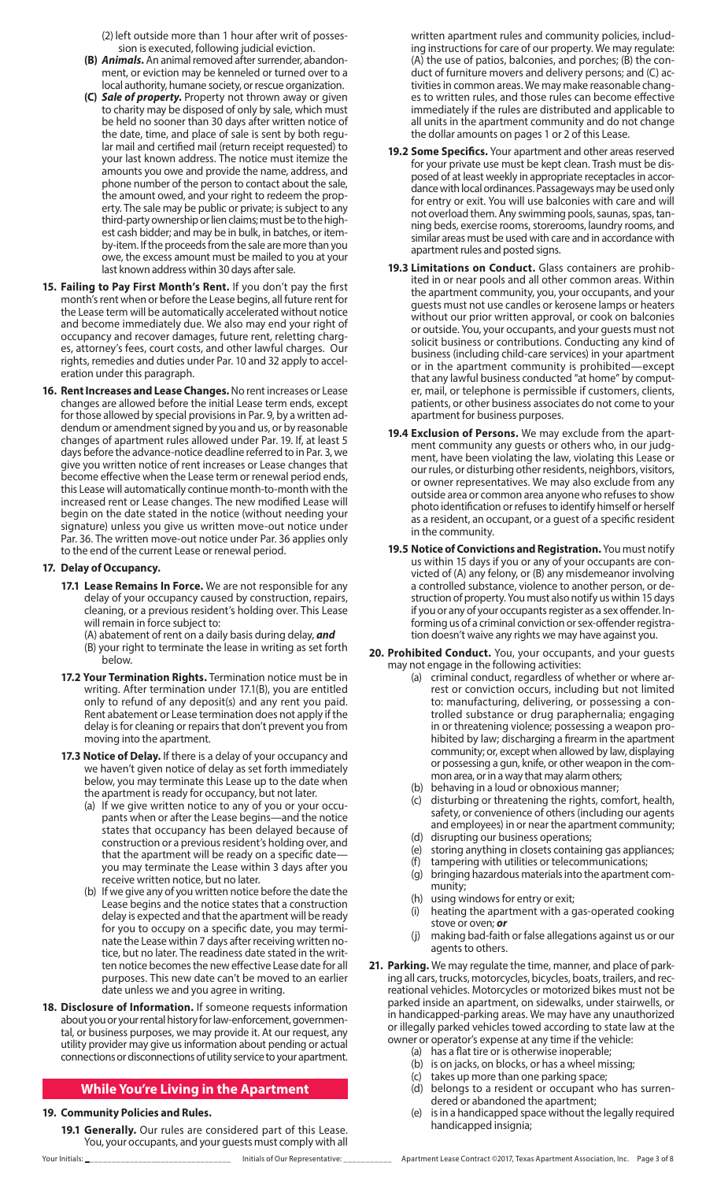(2) left outside more than 1 hour after writ of possession is executed, following judicial eviction.

- **(B)** *Animals***.** An animal removed after surrender, abandonment, or eviction may be kenneled or turned over to a local authority, humane society, or rescue organization.
- **(C)** *Sale of property***.** Property not thrown away or given to charity may be disposed of only by sale, which must be held no sooner than 30 days after written notice of the date, time, and place of sale is sent by both regular mail and certified mail (return receipt requested) to your last known address. The notice must itemize the amounts you owe and provide the name, address, and phone number of the person to contact about the sale, the amount owed, and your right to redeem the property. The sale may be public or private; is subject to any third-party ownership or lien claims; must be to the highest cash bidder; and may be in bulk, in batches, or itemby-item. If the proceeds from the sale are more than you owe, the excess amount must be mailed to you at your last known address within 30 days after sale.
- **15. Failing to Pay First Month's Rent.** If you don't pay the first month's rent when or before the Lease begins, all future rent for the Lease term will be automatically accelerated without notice and become immediately due. We also may end your right of occupancy and recover damages, future rent, reletting charges, attorney's fees, court costs, and other lawful charges. Our rights, remedies and duties under Par. 10 and 32 apply to acceleration under this paragraph.
- **16. Rent Increases and Lease Changes.** No rent increases or Lease changes are allowed before the initial Lease term ends, except for those allowed by special provisions in Par. 9, by a written addendum or amendment signed by you and us, or by reasonable changes of apartment rules allowed under Par. 19. If, at least 5 days before the advance-notice deadline referred to in Par. 3, we give you written notice of rent increases or Lease changes that become effective when the Lease term or renewal period ends, this Lease will automatically continue month-to-month with the increased rent or Lease changes. The new modified Lease will begin on the date stated in the notice (without needing your signature) unless you give us written move-out notice under Par. 36. The written move-out notice under Par. 36 applies only to the end of the current Lease or renewal period.

## **17. Delay of Occupancy.**

- **17.1 Lease Remains In Force.** We are not responsible for any delay of your occupancy caused by construction, repairs, cleaning, or a previous resident's holding over. This Lease will remain in force subject to:
	- (A) abatement of rent on a daily basis during delay, *and* (B) your right to terminate the lease in writing as set forth below.
- **17.2 Your Termination Rights.** Termination notice must be in writing. After termination under 17.1(B), you are entitled only to refund of any deposit(s) and any rent you paid. Rent abatement or Lease termination does not apply if the delay is for cleaning or repairs that don't prevent you from moving into the apartment.
- **17.3 Notice of Delay.** If there is a delay of your occupancy and we haven't given notice of delay as set forth immediately below, you may terminate this Lease up to the date when the apartment is ready for occupancy, but not later.
	- (a) If we give written notice to any of you or your occupants when or after the Lease begins—and the notice states that occupancy has been delayed because of construction or a previous resident's holding over, and that the apartment will be ready on a specific date you may terminate the Lease within 3 days after you receive written notice, but no later.
	- (b) If we give any of you written notice before the date the Lease begins and the notice states that a construction delay is expected and that the apartment will be ready for you to occupy on a specific date, you may terminate the Lease within 7 days after receiving written notice, but no later. The readiness date stated in the written notice becomes the new effective Lease date for all purposes. This new date can't be moved to an earlier date unless we and you agree in writing.
- **18. Disclosure of Information.** If someone requests information about you or your rental history for law-enforcement, governmental, or business purposes, we may provide it. At our request, any utility provider may give us information about pending or actual connections or disconnections of utility service to your apartment.

## **While You're Living in the Apartment**

## **19. Community Policies and Rules.**

**19.1 Generally.** Our rules are considered part of this Lease. You, your occupants, and your guests must comply with all written apartment rules and community policies, including instructions for care of our property. We may regulate: (A) the use of patios, balconies, and porches; (B) the conduct of furniture movers and delivery persons; and (C) activities in common areas. We may make reasonable changes to written rules, and those rules can become effective immediately if the rules are distributed and applicable to all units in the apartment community and do not change the dollar amounts on pages 1 or 2 of this Lease.

- **19.2 Some Specifics.** Your apartment and other areas reserved for your private use must be kept clean. Trash must be disposed of at least weekly in appropriate receptacles in accordance with local ordinances. Passageways may be used only for entry or exit. You will use balconies with care and will not overload them. Any swimming pools, saunas, spas, tanning beds, exercise rooms, storerooms, laundry rooms, and similar areas must be used with care and in accordance with apartment rules and posted signs.
- **19.3 Limitations on Conduct.** Glass containers are prohibited in or near pools and all other common areas. Within the apartment community, you, your occupants, and your guests must not use candles or kerosene lamps or heaters without our prior written approval, or cook on balconies or outside. You, your occupants, and your guests must not solicit business or contributions. Conducting any kind of business (including child-care services) in your apartment or in the apartment community is prohibited—except that any lawful business conducted "at home" by computer, mail, or telephone is permissible if customers, clients, patients, or other business associates do not come to your apartment for business purposes.
- **19.4 Exclusion of Persons.** We may exclude from the apartment community any guests or others who, in our judgment, have been violating the law, violating this Lease or our rules, or disturbing other residents, neighbors, visitors, or owner representatives. We may also exclude from any outside area or common area anyone who refuses to show photo identification or refuses to identify himself or herself as a resident, an occupant, or a guest of a specific resident in the community.
- **19.5 Notice of Convictions and Registration.** You must notify us within 15 days if you or any of your occupants are convicted of (A) any felony, or (B) any misdemeanor involving a controlled substance, violence to another person, or destruction of property. You must also notify us within 15 days if you or any of your occupants register as a sex offender. Informing us of a criminal conviction or sex-offender registration doesn't waive any rights we may have against you.
- **20. Prohibited Conduct.** You, your occupants, and your guests may not engage in the following activities:
	- (a) criminal conduct, regardless of whether or where arrest or conviction occurs, including but not limited to: manufacturing, delivering, or possessing a controlled substance or drug paraphernalia; engaging in or threatening violence; possessing a weapon prohibited by law; discharging a firearm in the apartment community; or, except when allowed by law, displaying or possessing a gun, knife, or other weapon in the common area, or in a way that may alarm others;
	- (b) behaving in a loud or obnoxious manner;
	- (c) disturbing or threatening the rights, comfort, health, safety, or convenience of others (including our agents and employees) in or near the apartment community;
	- (d) disrupting our business operations;
	- (e) storing anything in closets containing gas appliances;
	- (f) tampering with utilities or telecommunications; (g) bringing hazardous materials into the apartment com-
	- munity;
	- (h) using windows for entry or exit;
	- (i) heating the apartment with a gas-operated cooking stove or oven; *or*
	- (j) making bad-faith or false allegations against us or our agents to others.
- **21. Parking.** We may regulate the time, manner, and place of parking all cars, trucks, motorcycles, bicycles, boats, trailers, and recreational vehicles. Motorcycles or motorized bikes must not be parked inside an apartment, on sidewalks, under stairwells, or in handicapped-parking areas. We may have any unauthorized or illegally parked vehicles towed according to state law at the owner or operator's expense at any time if the vehicle:
	- (a) has a flat tire or is otherwise inoperable;
	- (b) is on jacks, on blocks, or has a wheel missing;
	- (c) takes up more than one parking space;
	- (d) belongs to a resident or occupant who has surrendered or abandoned the apartment;
	- (e) is in a handicapped space without the legally required handicapped insignia;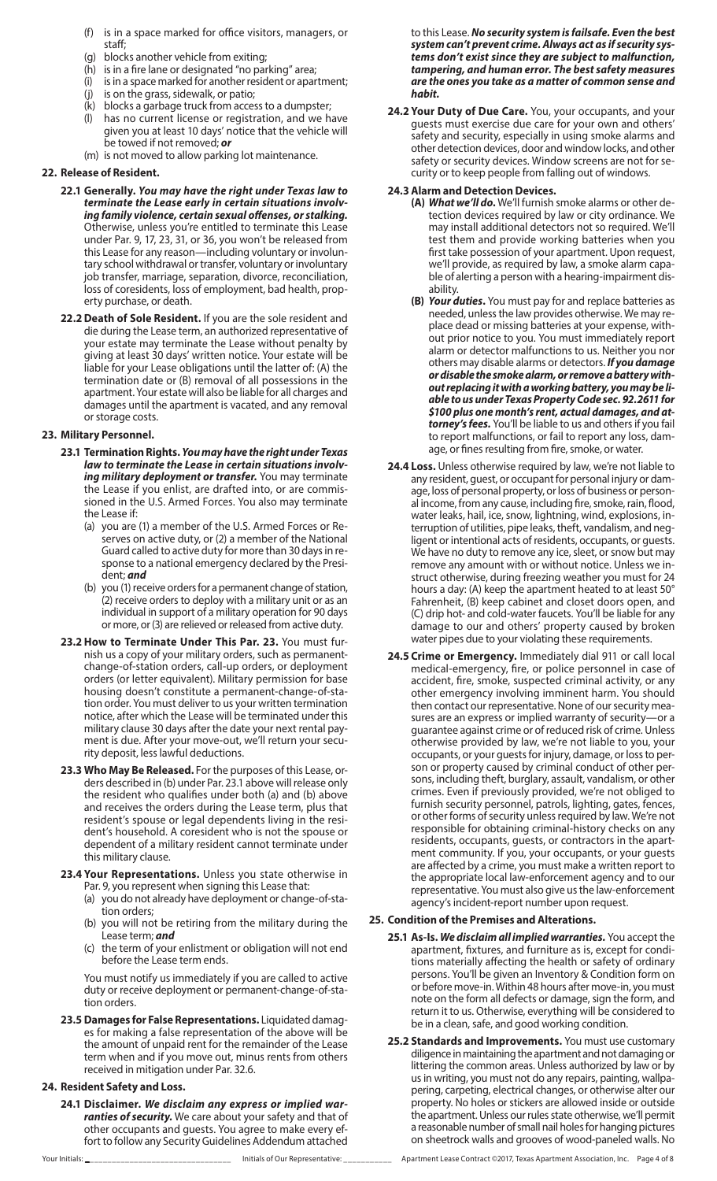- (f) is in a space marked for office visitors, managers, or staff;
- (g) blocks another vehicle from exiting;
- (h) is in a fire lane or designated "no parking" area;
- (i) is in a space marked for another resident or apartment;
- (j) is on the grass, sidewalk, or patio;
- $(k)$  blocks a garbage truck from access to a dumpster;<br>(I) has no current license or registration, and we ha
- has no current license or registration, and we have given you at least 10 days' notice that the vehicle will be towed if not removed; *or*
- (m) is not moved to allow parking lot maintenance.

### **22. Release of Resident.**

- **22.1 Generally.** *You may have the right under Texas law to terminate the Lease early in certain situations involving family violence, certain sexual offenses, or stalking.* Otherwise, unless you're entitled to terminate this Lease under Par. 9, 17, 23, 31, or 36, you won't be released from this Lease for any reason—including voluntary or involuntary school withdrawal or transfer, voluntary or involuntary job transfer, marriage, separation, divorce, reconciliation, loss of coresidents, loss of employment, bad health, property purchase, or death.
- **22.2Death of Sole Resident.** If you are the sole resident and die during the Lease term, an authorized representative of your estate may terminate the Lease without penalty by giving at least 30 days' written notice. Your estate will be liable for your Lease obligations until the latter of: (A) the termination date or (B) removal of all possessions in the apartment. Your estate will also be liable for all charges and damages until the apartment is vacated, and any removal or storage costs.

### **23. Military Personnel.**

- **23.1 Termination Rights.** *You may have the right under Texas law to terminate the Lease in certain situations involving military deployment or transfer.* You may terminate the Lease if you enlist, are drafted into, or are commissioned in the U.S. Armed Forces. You also may terminate the Lease if:
	- (a) you are (1) a member of the U.S. Armed Forces or Reserves on active duty, or (2) a member of the National Guard called to active duty for more than 30 days in response to a national emergency declared by the President; *and*
	- (b) you (1) receive orders for a permanent change of station, (2) receive orders to deploy with a military unit or as an individual in support of a military operation for 90 days or more, or (3) are relieved or released from active duty.
- **23.2 How to Terminate Under This Par. 23.** You must furnish us a copy of your military orders, such as permanentchange-of-station orders, call-up orders, or deployment orders (or letter equivalent). Military permission for base housing doesn't constitute a permanent-change-of-station order. You must deliver to us your written termination notice, after which the Lease will be terminated under this military clause 30 days after the date your next rental payment is due. After your move-out, we'll return your security deposit, less lawful deductions.
- **23.3 Who May Be Released.** For the purposes of this Lease, orders described in (b) under Par. 23.1 above will release only the resident who qualifies under both (a) and (b) above and receives the orders during the Lease term, plus that resident's spouse or legal dependents living in the resident's household. A coresident who is not the spouse or dependent of a military resident cannot terminate under this military clause.
- **23.4 Your Representations.** Unless you state otherwise in Par. 9, you represent when signing this Lease that:
	- (a) you do not already have deployment or change-of-station orders;
	- (b) you will not be retiring from the military during the Lease term; *and*
	- (c) the term of your enlistment or obligation will not end before the Lease term ends.

You must notify us immediately if you are called to active duty or receive deployment or permanent-change-of-station orders.

**23.5 Damages for False Representations.** Liquidated damages for making a false representation of the above will be the amount of unpaid rent for the remainder of the Lease term when and if you move out, minus rents from others received in mitigation under Par. 32.6.

## **24. Resident Safety and Loss.**

**24.1 Disclaimer.** *We disclaim any express or implied warranties of security.* We care about your safety and that of other occupants and guests. You agree to make every effort to follow any Security Guidelines Addendum attached to this Lease. *No security system is failsafe. Even the best system can't prevent crime. Always act as if security systems don't exist since they are subject to malfunction, tampering, and human error. The best safety measures are the ones you take as a matter of common sense and habit.*

**24.2 Your Duty of Due Care.** You, your occupants, and your guests must exercise due care for your own and others' safety and security, especially in using smoke alarms and other detection devices, door and window locks, and other safety or security devices. Window screens are not for security or to keep people from falling out of windows.

### **24.3 Alarm and Detection Devices.**

- **(A)** *What we'll do***.** We'll furnish smoke alarms or other detection devices required by law or city ordinance. We may install additional detectors not so required. We'll test them and provide working batteries when you first take possession of your apartment. Upon request, we'll provide, as required by law, a smoke alarm capable of alerting a person with a hearing-impairment disability.
- **(B)** *Your duties***.** You must pay for and replace batteries as needed, unless the law provides otherwise. We may replace dead or missing batteries at your expense, without prior notice to you. You must immediately report alarm or detector malfunctions to us. Neither you nor others may disable alarms or detectors. *If you damage or disable the smoke alarm, or remove a battery without replacing it with a working battery, you may be liable to us under Texas Property Code sec. 92.2611 for \$100 plus one month's rent, actual damages, and attorney's fees.* You'll be liable to us and others if you fail to report malfunctions, or fail to report any loss, damage, or fines resulting from fire, smoke, or water.
- **24.4 Loss.** Unless otherwise required by law, we're not liable to any resident, guest, or occupant for personal injury or damage, loss of personal property, or loss of business or personal income, from any cause, including fire, smoke, rain, flood, water leaks, hail, ice, snow, lightning, wind, explosions, interruption of utilities, pipe leaks, theft, vandalism, and negligent or intentional acts of residents, occupants, or guests. We have no duty to remove any ice, sleet, or snow but may remove any amount with or without notice. Unless we instruct otherwise, during freezing weather you must for 24 hours a day: (A) keep the apartment heated to at least 50° Fahrenheit, (B) keep cabinet and closet doors open, and (C) drip hot- and cold-water faucets. You'll be liable for any damage to our and others' property caused by broken water pipes due to your violating these requirements.
- **24.5 Crime or Emergency.** Immediately dial 911 or call local medical-emergency, fire, or police personnel in case of accident, fire, smoke, suspected criminal activity, or any other emergency involving imminent harm. You should then contact our representative. None of our security measures are an express or implied warranty of security—or a guarantee against crime or of reduced risk of crime. Unless otherwise provided by law, we're not liable to you, your occupants, or your guests for injury, damage, or loss to person or property caused by criminal conduct of other persons, including theft, burglary, assault, vandalism, or other crimes. Even if previously provided, we're not obliged to furnish security personnel, patrols, lighting, gates, fences, or other forms of security unless required by law. We're not responsible for obtaining criminal-history checks on any residents, occupants, guests, or contractors in the apartment community. If you, your occupants, or your guests are affected by a crime, you must make a written report to the appropriate local law-enforcement agency and to our representative. You must also give us the law-enforcement agency's incident-report number upon request.

## **25. Condition of the Premises and Alterations.**

- **25.1 As-Is.** *We disclaim all implied warranties.* You accept the apartment, fixtures, and furniture as is, except for conditions materially affecting the health or safety of ordinary persons. You'll be given an Inventory & Condition form on or before move-in. Within 48 hours after move-in, you must note on the form all defects or damage, sign the form, and return it to us. Otherwise, everything will be considered to be in a clean, safe, and good working condition.
- **25.2 Standards and Improvements.** You must use customary diligence in maintaining the apartment and not damaging or littering the common areas. Unless authorized by law or by us in writing, you must not do any repairs, painting, wallpapering, carpeting, electrical changes, or otherwise alter our property. No holes or stickers are allowed inside or outside the apartment. Unless our rules state otherwise, we'll permit a reasonable number of small nail holes for hanging pictures on sheetrock walls and grooves of wood-paneled walls. No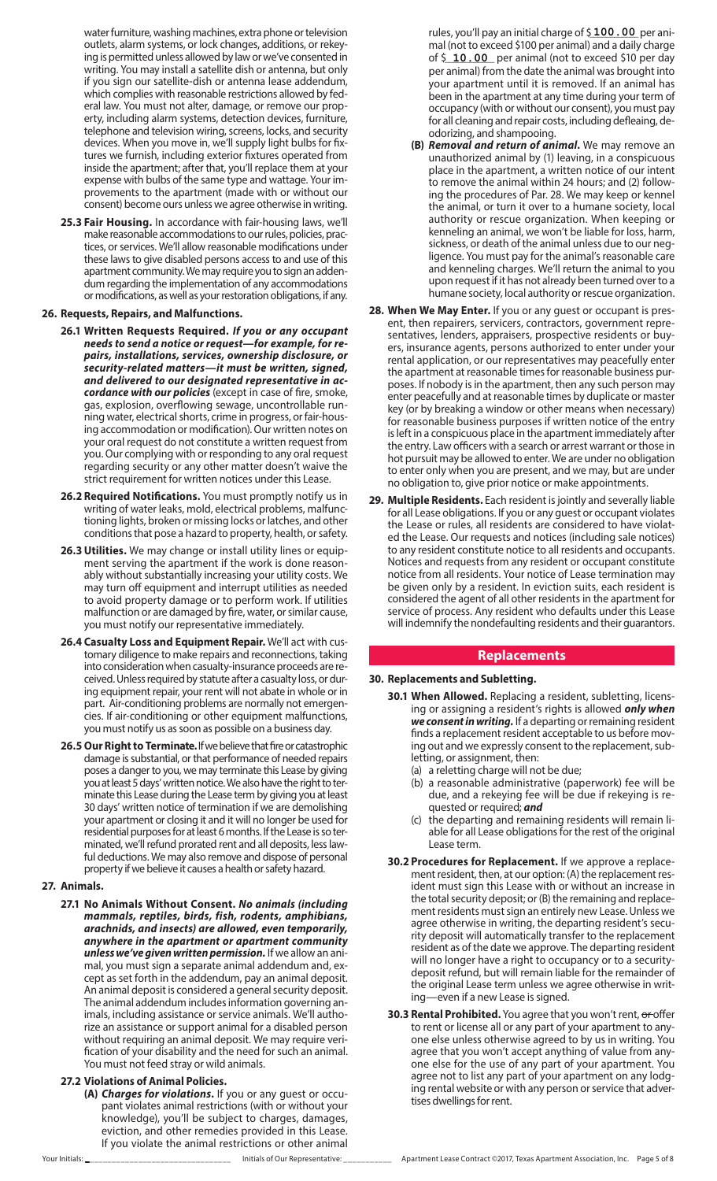water furniture, washing machines, extra phone or television outlets, alarm systems, or lock changes, additions, or rekey ing is permitted unless allowed by law or we've consented in writing. You may install a satellite dish or antenna, but only if you sign our satellite-dish or antenna lease addendum, which complies with reasonable restrictions allowed by fed eral law. You must not alter, damage, or remove our prop erty, including alarm systems, detection devices, furniture, telephone and television wiring, screens, locks, and security devices. When you move in, we'll supply light bulbs for fix tures we furnish, including exterior fixtures operated from inside the apartment; after that, you'll replace them at your expense with bulbs of the same type and wattage. Your im provements to the apartment (made with or without our consent) become ours unless we agree otherwise in writing.

**25.3 Fair Housing.** In accordance with fair-housing laws, we'll make reasonable accommodations to our rules, policies, practices, or services. We'll allow reasonable modifications under these laws to give disabled persons access to and use of this apartment community. We may require you to sign an adden dum regarding the implementation of any accommodations or modifications, as well as your restoration obligations, if any.

#### **26. Requests, Repairs, and Malfunctions.**

- **26.1 Written Requests Required.** *If you or any occupant needs to send a notice or request—for example, for re pairs, installations, services, ownership disclosure, or security-related matters—it must be written, signed, and delivered to our designated representative in ac cordance with our policies* (except in case of fire, smoke, gas, explosion, overflowing sewage, uncontrollable run ning water, electrical shorts, crime in progress, or fair-hous ing accommodation or modification). Our written notes on your oral request do not constitute a written request from you. Our complying with or responding to any oral request regarding security or any other matter doesn't waive the strict requirement for written notices under this Lease.
- **26.2 Required Notifications.** You must promptly notify us in writing of water leaks, mold, electrical problems, malfunc tioning lights, broken or missing locks or latches, and other conditions that pose a hazard to property, health, or safety.
- 26.3 Utilities. We may change or install utility lines or equipment serving the apartment if the work is done reason ably without substantially increasing your utility costs. We may turn off equipment and interrupt utilities as needed to avoid property damage or to perform work. If utilities malfunction or are damaged by fire, water, or similar cause, you must notify our representative immediately.
- **26.4 Casualty Loss and Equipment Repair.** We'll act with cus tomary diligence to make repairs and reconnections, taking into consideration when casualty-insurance proceeds are re ceived. Unless required by statute after a casualty loss, or during equipment repair, your rent will not abate in whole or in part. Air-conditioning problems are normally not emergen cies. If air-conditioning or other equipment malfunctions, you must notify us as soon as possible on a business day.
- **26.5 Our Right to Terminate.** If we believe that fire or catastrophic damage is substantial, or that performance of needed repairs poses a danger to you, we may terminate this Lease by giving you at least 5 days' written notice. We also have the right to terminate this Lease during the Lease term by giving you at least 30 days' written notice of termination if we are demolishing your apartment or closing it and it will no longer be used for residential purposes for at least 6 months. If the Lease is so terminated, we'll refund prorated rent and all deposits, less lawful deductions. We may also remove and dispose of personal property if we believe it causes a health or safety hazard.

## **27. Animals.**

- **27.1 No Animals Without Consent.** *No animals (including mammals, reptiles, birds, fish, rodents, amphibians, arachnids, and insects) are allowed, even temporarily, anywhere in the apartment or apartment community unless we've given written permission.* If we allow an ani mal, you must sign a separate animal addendum and, ex cept as set forth in the addendum, pay an animal deposit. An animal deposit is considered a general security deposit. The animal addendum includes information governing an imals, including assistance or service animals. We'll autho rize an assistance or support animal for a disabled person without requiring an animal deposit. We may require veri fication of your disability and the need for such an animal. You must not feed stray or wild animals.
- **27.2 Violations of Animal Policies.**
	- **(A)** *Charges for violations***.** If you or any guest or occu pant violates animal restrictions (with or without your knowledge), you'll be subject to charges, damages, eviction, and other remedies provided in this Lease. If you violate the animal restrictions or other animal

rules, you'll pay an initial charge of \$**100.00** per animal (not to exceed \$100 per animal) and a daily charge of \$ 10.00 per animal (not to exceed \$10 per day per animal) from the date the animal was brought into your apartment until it is removed. If an animal has been in the apartment at any time during your term of occupancy (with or without our consent), you must pay for all cleaning and repair costs, including defleaing, de odorizing, and shampooing.

- **(B)** *Removal and return of animal***.** We may remove an unauthorized animal by (1) leaving, in a conspicuous place in the apartment, a written notice of our intent to remove the animal within 24 hours; and (2) follow ing the procedures of Par. 28. We may keep or kennel the animal, or turn it over to a humane society, local authority or rescue organization. When keeping or kenneling an animal, we won't be liable for loss, harm, sickness, or death of the animal unless due to our neg ligence. You must pay for the animal's reasonable care and kenneling charges. We'll return the animal to you upon request if it has not already been turned over to a humane society, local authority or rescue organization.
- 28. When We May Enter. If you or any guest or occupant is present, then repairers, servicers, contractors, government repre sentatives, lenders, appraisers, prospective residents or buy ers, insurance agents, persons authorized to enter under your rental application, or our representatives may peacefully enter the apartment at reasonable times for reasonable business pur poses. If nobody is in the apartment, then any such person may enter peacefully and at reasonable times by duplicate or master key (or by breaking a window or other means when necessary) for reasonable business purposes if written notice of the entry is left in a conspicuous place in the apartment immediately after the entry. Law officers with a search or arrest warrant or those in hot pursuit may be allowed to enter. We are under no obligation to enter only when you are present, and we may, but are under no obligation to, give prior notice or make appointments.
- **29. Multiple Residents.** Each resident is jointly and severally liable for all Lease obligations. If you or any guest or occupant violates the Lease or rules, all residents are considered to have violat ed the Lease. Our requests and notices (including sale notices) to any resident constitute notice to all residents and occupants. Notices and requests from any resident or occupant constitute notice from all residents. Your notice of Lease termination may be given only by a resident. In eviction suits, each resident is considered the agent of all other residents in the apartment for service of process. Any resident who defaults under this Lease will indemnify the nondefaulting residents and their guarantors.

## **Replacements**

#### **30. Replacements and Subletting.**

- **30.1 When Allowed.** Replacing a resident, subletting, licens ing or assigning a resident's rights is allowed *only when we consent in writing.* If a departing or remaining resident finds a replacement resident acceptable to us before mov ing out and we expressly consent to the replacement, sub letting, or assignment, then:
	- (a) a reletting charge will not be due;
	- (b) a reasonable administrative (paperwork) fee will be due, and a rekeying fee will be due if rekeying is re quested or required; *and*
	- (c) the departing and remaining residents will remain li able for all Lease obligations for the rest of the original Lease term.
- **30.2 Procedures for Replacement.** If we approve a replacement resident, then, at our option: (A) the replacement res ident must sign this Lease with or without an increase in the total security deposit; or (B) the remaining and replace ment residents must sign an entirely new Lease. Unless we agree otherwise in writing, the departing resident's secu rity deposit will automatically transfer to the replacement resident as of the date we approve. The departing resident will no longer have a right to occupancy or to a securitydeposit refund, but will remain liable for the remainder of the original Lease term unless we agree otherwise in writ ing—even if a new Lease is signed.
- **30.3 Rental Prohibited.** You agree that you won't rent, or offer to rent or license all or any part of your apartment to any one else unless otherwise agreed to by us in writing. You agree that you won't accept anything of value from any one else for the use of any part of your apartment. You agree not to list any part of your apartment on any lodg ing rental website or with any person or service that advertises dwellings for rent.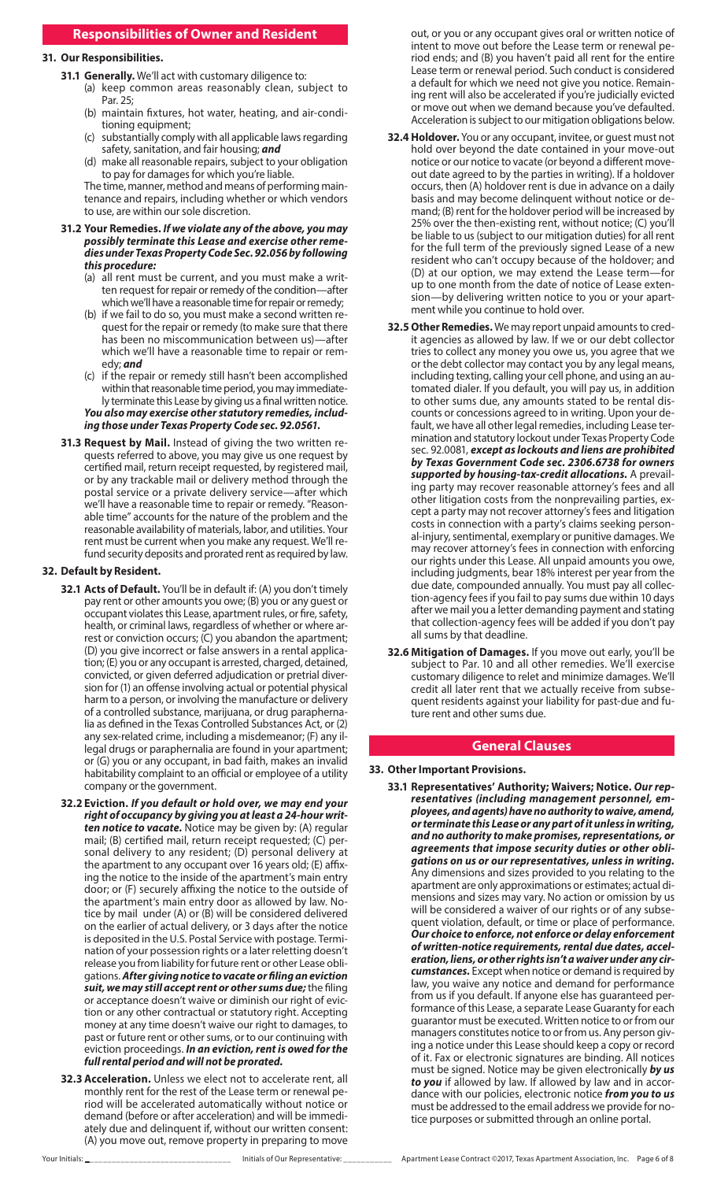## **Responsibilities of Owner and Resident**

## **31. Our Responsibilities.**

- **31.1 Generally.** We'll act with customary diligence to:
	- (a) keep common areas reasonably clean, subject to Par. 25;
	- (b) maintain fixtures, hot water, heating, and air-conditioning equipment;
	- (c) substantially comply with all applicable laws regarding safety, sanitation, and fair housing; *and*
	- (d) make all reasonable repairs, subject to your obligation to pay for damages for which you're liable.

The time, manner, method and means of performing maintenance and repairs, including whether or which vendors to use, are within our sole discretion.

#### **31.2 Your Remedies.** *If we violate any of the above, you may possibly terminate this Lease and exercise other remedies under Texas Property Code Sec. 92.056 by following this procedure:*

- (a) all rent must be current, and you must make a written request for repair or remedy of the condition—after which we'll have a reasonable time for repair or remedy;
- (b) if we fail to do so, you must make a second written request for the repair or remedy (to make sure that there has been no miscommunication between us)—after which we'll have a reasonable time to repair or remedy; *and*
- (c) if the repair or remedy still hasn't been accomplished within that reasonable time period, you may immediately terminate this Lease by giving us a final written notice. *You also may exercise other statutory remedies, includ-*

*ing those under Texas Property Code sec. 92.0561.*

**31.3 Request by Mail.** Instead of giving the two written requests referred to above, you may give us one request by certified mail, return receipt requested, by registered mail, or by any trackable mail or delivery method through the postal service or a private delivery service—after which we'll have a reasonable time to repair or remedy. "Reasonable time" accounts for the nature of the problem and the reasonable availability of materials, labor, and utilities. Your rent must be current when you make any request. We'll refund security deposits and prorated rent as required by law.

#### **32. Default by Resident.**

- **32.1 Acts of Default.** You'll be in default if: (A) you don't timely pay rent or other amounts you owe; (B) you or any guest or occupant violates this Lease, apartment rules, or fire, safety, health, or criminal laws, regardless of whether or where arrest or conviction occurs; (C) you abandon the apartment; (D) you give incorrect or false answers in a rental application; (E) you or any occupant is arrested, charged, detained, convicted, or given deferred adjudication or pretrial diversion for (1) an offense involving actual or potential physical harm to a person, or involving the manufacture or delivery of a controlled substance, marijuana, or drug paraphernalia as defined in the Texas Controlled Substances Act, or (2) any sex-related crime, including a misdemeanor; (F) any illegal drugs or paraphernalia are found in your apartment; or (G) you or any occupant, in bad faith, makes an invalid habitability complaint to an official or employee of a utility company or the government.
- **32.2 Eviction.** *If you default or hold over, we may end your right of occupancy by giving you at least a 24-hour written notice to vacate.* Notice may be given by: (A) regular mail; (B) certified mail, return receipt requested; (C) personal delivery to any resident; (D) personal delivery at the apartment to any occupant over 16 years old; (E) affixing the notice to the inside of the apartment's main entry door; or (F) securely affixing the notice to the outside of the apartment's main entry door as allowed by law. Notice by mail under (A) or (B) will be considered delivered on the earlier of actual delivery, or 3 days after the notice is deposited in the U.S. Postal Service with postage. Termination of your possession rights or a later reletting doesn't release you from liability for future rent or other Lease obligations. *After giving notice to vacate or filing an eviction suit, we may still accept rent or other sums due;* the filing or acceptance doesn't waive or diminish our right of eviction or any other contractual or statutory right. Accepting money at any time doesn't waive our right to damages, to past or future rent or other sums, or to our continuing with eviction proceedings. *In an eviction, rent is owed for the full rental period and will not be prorated.*
- **32.3 Acceleration.** Unless we elect not to accelerate rent, all monthly rent for the rest of the Lease term or renewal period will be accelerated automatically without notice or demand (before or after acceleration) and will be immediately due and delinquent if, without our written consent: (A) you move out, remove property in preparing to move

out, or you or any occupant gives oral or written notice of intent to move out before the Lease term or renewal period ends; and (B) you haven't paid all rent for the entire Lease term or renewal period. Such conduct is considered a default for which we need not give you notice. Remaining rent will also be accelerated if you're judicially evicted or move out when we demand because you've defaulted. Acceleration is subject to our mitigation obligations below.

- **32.4 Holdover.** You or any occupant, invitee, or guest must not hold over beyond the date contained in your move-out notice or our notice to vacate (or beyond a different moveout date agreed to by the parties in writing). If a holdover occurs, then (A) holdover rent is due in advance on a daily basis and may become delinquent without notice or demand; (B) rent for the holdover period will be increased by 25% over the then-existing rent, without notice; (C) you'll be liable to us (subject to our mitigation duties) for all rent for the full term of the previously signed Lease of a new resident who can't occupy because of the holdover; and (D) at our option, we may extend the Lease term—for up to one month from the date of notice of Lease extension—by delivering written notice to you or your apartment while you continue to hold over.
- **32.5 Other Remedies.** We may report unpaid amounts to credit agencies as allowed by law. If we or our debt collector tries to collect any money you owe us, you agree that we or the debt collector may contact you by any legal means, including texting, calling your cell phone, and using an automated dialer. If you default, you will pay us, in addition to other sums due, any amounts stated to be rental discounts or concessions agreed to in writing. Upon your default, we have all other legal remedies, including Lease termination and statutory lockout under Texas Property Code sec. 92.0081, *except as lockouts and liens are prohibited by Texas Government Code sec. 2306.6738 for owners supported by housing-tax-credit allocations.* A prevailing party may recover reasonable attorney's fees and all other litigation costs from the nonprevailing parties, except a party may not recover attorney's fees and litigation costs in connection with a party's claims seeking personal-injury, sentimental, exemplary or punitive damages. We may recover attorney's fees in connection with enforcing our rights under this Lease. All unpaid amounts you owe, including judgments, bear 18% interest per year from the due date, compounded annually. You must pay all collection-agency fees if you fail to pay sums due within 10 days after we mail you a letter demanding payment and stating that collection-agency fees will be added if you don't pay all sums by that deadline.
- **32.6 Mitigation of Damages.** If you move out early, you'll be subject to Par. 10 and all other remedies. We'll exercise customary diligence to relet and minimize damages. We'll credit all later rent that we actually receive from subsequent residents against your liability for past-due and future rent and other sums due.

## **General Clauses**

#### **33. Other Important Provisions.**

**33.1 Representatives' Authority; Waivers; Notice.** *Our representatives (including management personnel, employees, and agents) have no authority to waive, amend, or terminate this Lease or any part of it unless in writing, and no authority to make promises, representations, or agreements that impose security duties or other obligations on us or our representatives, unless in writing.* Any dimensions and sizes provided to you relating to the apartment are only approximations or estimates; actual dimensions and sizes may vary. No action or omission by us will be considered a waiver of our rights or of any subsequent violation, default, or time or place of performance. *Our choice to enforce, not enforce or delay enforcement of written-notice requirements, rental due dates, acceleration, liens, or other rights isn't a waiver under any circumstances.* Except when notice or demand is required by law, you waive any notice and demand for performance from us if you default. If anyone else has guaranteed performance of this Lease, a separate Lease Guaranty for each guarantor must be executed. Written notice to or from our managers constitutes notice to or from us. Any person giving a notice under this Lease should keep a copy or record of it. Fax or electronic signatures are binding. All notices must be signed. Notice may be given electronically *by us to you* if allowed by law. If allowed by law and in accordance with our policies, electronic notice *from you to us* must be addressed to the email address we provide for notice purposes or submitted through an online portal.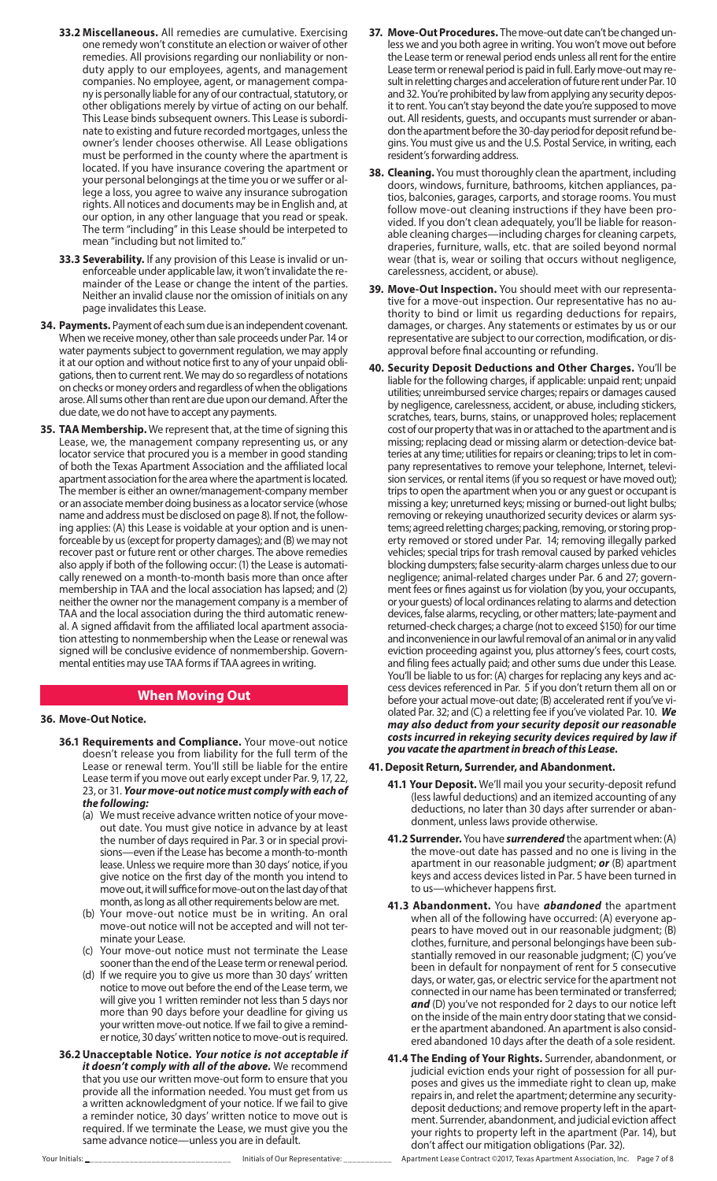- **33.2 Miscellaneous.** All remedies are cumulative. Exercising one remedy won't constitute an election or waiver of other remedies. All provisions regarding our nonliability or nonduty apply to our employees, agents, and management companies. No employee, agent, or management company is personally liable for any of our contractual, statutory, or other obligations merely by virtue of acting on our behalf. This Lease binds subsequent owners. This Lease is subordinate to existing and future recorded mortgages, unless the owner's lender chooses otherwise. All Lease obligations must be performed in the county where the apartment is located. If you have insurance covering the apartment or your personal belongings at the time you or we suffer or allege a loss, you agree to waive any insurance subrogation rights. All notices and documents may be in English and, at our option, in any other language that you read or speak. The term "including" in this Lease should be interpeted to mean "including but not limited to."
- **33.3 Severability.** If any provision of this Lease is invalid or unenforceable under applicable law, it won't invalidate the remainder of the Lease or change the intent of the parties. Neither an invalid clause nor the omission of initials on any page invalidates this Lease.
- **34. Payments.** Payment of each sum due is an independent covenant. When we receive money, other than sale proceeds under Par. 14 or water payments subject to government regulation, we may apply it at our option and without notice first to any of your unpaid obligations, then to current rent. We may do so regardless of notations on checks or money orders and regardless of when the obligations arose. All sums other than rent are due upon our demand. After the due date, we do not have to accept any payments.
- **35. TAA Membership.** We represent that, at the time of signing this Lease, we, the management company representing us, or any locator service that procured you is a member in good standing of both the Texas Apartment Association and the affiliated local apartment association for the area where the apartment is located. The member is either an owner/management-company member or an associate member doing business as a locator service (whose name and address must be disclosed on page 8). If not, the following applies: (A) this Lease is voidable at your option and is unenforceable by us (except for property damages); and (B) we may not recover past or future rent or other charges. The above remedies also apply if both of the following occur: (1) the Lease is automatically renewed on a month-to-month basis more than once after membership in TAA and the local association has lapsed; and (2) neither the owner nor the management company is a member of TAA and the local association during the third automatic renewal. A signed affidavit from the affiliated local apartment association attesting to nonmembership when the Lease or renewal was signed will be conclusive evidence of nonmembership. Governmental entities may use TAA forms if TAA agrees in writing.

## **When Moving Out**

#### **36. Move-Out Notice.**

- **36.1 Requirements and Compliance.** Your move-out notice doesn't release you from liability for the full term of the Lease or renewal term. You'll still be liable for the entire Lease term if you move out early except under Par. 9, 17, 22, 23, or 31. *Your move-out notice must comply with each of the following:*
	- (a) We must receive advance written notice of your moveout date. You must give notice in advance by at least the number of days required in Par. 3 or in special provisions—even if the Lease has become a month-to-month lease. Unless we require more than 30 days' notice, if you give notice on the first day of the month you intend to move out, it will suffice for move-out on the last day of that month, as long as all other requirements below are met.
	- (b) Your move-out notice must be in writing. An oral move-out notice will not be accepted and will not terminate your Lease.
	- Your move-out notice must not terminate the Lease sooner than the end of the Lease term or renewal period.
	- (d) If we require you to give us more than 30 days' written notice to move out before the end of the Lease term, we will give you 1 written reminder not less than 5 days nor more than 90 days before your deadline for giving us your written move-out notice. If we fail to give a reminder notice, 30 days' written notice to move-out is required.
- **36.2Unacceptable Notice.** *Your notice is not acceptable if it doesn't comply with all of the above.* We recommend that you use our written move-out form to ensure that you provide all the information needed. You must get from us a written acknowledgment of your notice. If we fail to give a reminder notice, 30 days' written notice to move out is required. If we terminate the Lease, we must give you the same advance notice—unless you are in default.
- **37. Move-Out Procedures.** The move-out date can't be changed unless we and you both agree in writing. You won't move out before the Lease term or renewal period ends unless all rent for the entire Lease term or renewal period is paid in full. Early move-out may result in reletting charges and acceleration of future rent under Par. 10 and 32. You're prohibited by law from applying any security deposit to rent. You can't stay beyond the date you're supposed to move out. All residents, guests, and occupants must surrender or abandon the apartment before the 30-day period for deposit refund begins. You must give us and the U.S. Postal Service, in writing, each resident's forwarding address.
- **38. Cleaning.** You must thoroughly clean the apartment, including doors, windows, furniture, bathrooms, kitchen appliances, patios, balconies, garages, carports, and storage rooms. You must follow move-out cleaning instructions if they have been provided. If you don't clean adequately, you'll be liable for reasonable cleaning charges—including charges for cleaning carpets, draperies, furniture, walls, etc. that are soiled beyond normal wear (that is, wear or soiling that occurs without negligence, carelessness, accident, or abuse).
- **39. Move-Out Inspection.** You should meet with our representative for a move-out inspection. Our representative has no authority to bind or limit us regarding deductions for repairs, damages, or charges. Any statements or estimates by us or our representative are subject to our correction, modification, or disapproval before final accounting or refunding.
- **40. Security Deposit Deductions and Other Charges.** You'll be liable for the following charges, if applicable: unpaid rent; unpaid utilities; unreimbursed service charges; repairs or damages caused by negligence, carelessness, accident, or abuse, including stickers, scratches, tears, burns, stains, or unapproved holes; replacement cost of our property that was in or attached to the apartment and is missing; replacing dead or missing alarm or detection-device batteries at any time; utilities for repairs or cleaning; trips to let in company representatives to remove your telephone, Internet, television services, or rental items (if you so request or have moved out); trips to open the apartment when you or any guest or occupant is missing a key; unreturned keys; missing or burned-out light bulbs; removing or rekeying unauthorized security devices or alarm systems; agreed reletting charges; packing, removing, or storing property removed or stored under Par. 14; removing illegally parked vehicles; special trips for trash removal caused by parked vehicles blocking dumpsters; false security-alarm charges unless due to our negligence; animal-related charges under Par. 6 and 27; government fees or fines against us for violation (by you, your occupants, or your guests) of local ordinances relating to alarms and detection devices, false alarms, recycling, or other matters; late-payment and returned-check charges; a charge (not to exceed \$150) for our time and inconvenience in our lawful removal of an animal or in any valid eviction proceeding against you, plus attorney's fees, court costs, and filing fees actually paid; and other sums due under this Lease. You'll be liable to us for: (A) charges for replacing any keys and access devices referenced in Par. 5 if you don't return them all on or before your actual move-out date; (B) accelerated rent if you've violated Par. 32; and (C) a reletting fee if you've violated Par. 10. *We may also deduct from your security deposit our reasonable costs incurred in rekeying security devices required by law if you vacate the apartment in breach of this Lease.*

#### **41. Deposit Return, Surrender, and Abandonment.**

- **41.1 Your Deposit.** We'll mail you your security-deposit refund (less lawful deductions) and an itemized accounting of any deductions, no later than 30 days after surrender or abandonment, unless laws provide otherwise.
- **41.2 Surrender.** You have *surrendered* the apartment when: (A) the move-out date has passed and no one is living in the apartment in our reasonable judgment; *or* (B) apartment keys and access devices listed in Par. 5 have been turned in to us—whichever happens first.
- **41.3 Abandonment.** You have *abandoned* the apartment when all of the following have occurred: (A) everyone appears to have moved out in our reasonable judgment; (B) clothes, furniture, and personal belongings have been substantially removed in our reasonable judgment; (C) you've been in default for nonpayment of rent for 5 consecutive days, or water, gas, or electric service for the apartment not connected in our name has been terminated or transferred; *and* (D) you've not responded for 2 days to our notice left on the inside of the main entry door stating that we consider the apartment abandoned. An apartment is also considered abandoned 10 days after the death of a sole resident.
- **41.4 The Ending of Your Rights.** Surrender, abandonment, or judicial eviction ends your right of possession for all purposes and gives us the immediate right to clean up, make repairs in, and relet the apartment; determine any securitydeposit deductions; and remove property left in the apartment. Surrender, abandonment, and judicial eviction affect your rights to property left in the apartment (Par. 14), but don't affect our mitigation obligations (Par. 32).

Your Initials: \_\_\_\_\_\_\_\_\_\_\_\_\_\_\_\_\_\_\_\_\_\_\_\_\_\_\_\_\_\_\_\_\_\_ Initials of Our Representative: \_\_\_\_\_\_\_\_\_\_\_ Apartment Lease Contract ©2017, Texas Apartment Association, Inc. Page 7 of 8